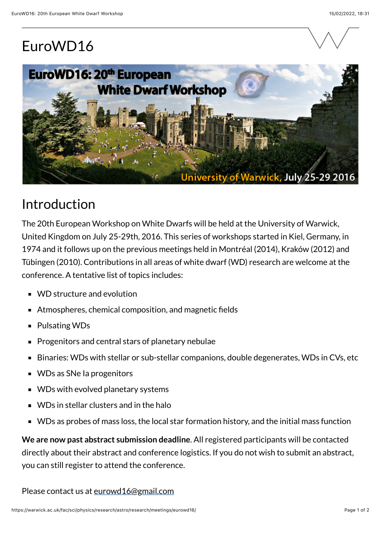## EuroWD16





## Introduction

The 20th European Workshop on White Dwarfs will be held at the University of Warwick, United Kingdom on July 25-29th, 2016. This series of workshops started in Kiel, Germany, in 1974 and it follows up on the previous meetings held in Montréal (2014), Kraków (2012) and Tübingen (2010). Contributions in all areas of white dwarf (WD) research are welcome at the conference. A tentative list of topics includes:

- **WD** structure and evolution
- Atmospheres, chemical composition, and magnetic fields  $\blacksquare$
- Pulsating WDs  $\blacksquare$
- Progenitors and central stars of planetary nebulae  $\blacksquare$
- Binaries: WDs with stellar or sub-stellar companions, double degenerates, WDs in CVs, etc  $\blacksquare$
- WDs as SNe Ia progenitors
- WDs with evolved planetary systems  $\blacksquare$
- WDs in stellar clusters and in the halo  $\blacksquare$
- WDs as probes of mass loss, the local star formation history, and the initial mass function  $\blacksquare$

**We are now past abstract submission deadline**. All registered participants will be contacted directly about their abstract and conference logistics. If you do not wish to submit an abstract, you can still register to attend the conference.

Please contact us at [eurowd16@gmail.com](mailto:eurowd16@gmail.com)